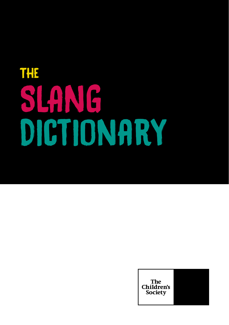# The SLANG Dictionary

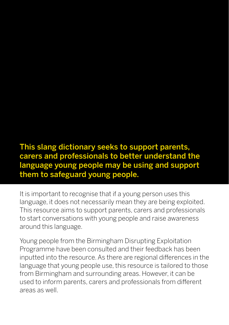This slang dictionary seeks to support parents, carers and professionals to better understand the language young people may be using and support them to safeguard young people.

It is important to recognise that if a young person uses this language, it does not necessarily mean they are being exploited. This resource aims to support parents, carers and professionals to start conversations with young people and raise awareness around this language.

Young people from the Birmingham Disrupting Exploitation Programme have been consulted and their feedback has been inputted into the resource. As there are regional differences in the language that young people use, this resource is tailored to those from Birmingham and surrounding areas. However, it can be used to inform parents, carers and professionals from different areas as well.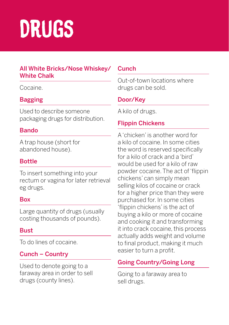# Drugs

#### All White Bricks/Nose Whiskey/ White Chalk

#### Cocaine.

# Bagging

Used to describe someone packaging drugs for distribution.

# Bando

A trap house (short for abandoned house).

# **Bottle**

To insert something into your rectum or vagina for later retrieval eg drugs.

#### Box

Large quantity of drugs (usually costing thousands of pounds).

# **Bust**

To do lines of cocaine.

# Cunch – Country

Used to denote going to a faraway area in order to sell drugs (county lines).

# **Cunch**

Out-of-town locations where drugs can be sold.

# Door/Key

A kilo of drugs.

# Flippin Chickens

A 'chicken' is another word for a kilo of cocaine. In some cities the word is reserved specifically for a kilo of crack and a 'bird' would be used for a kilo of raw powder cocaine. The act of 'flippin chickens' can simply mean selling kilos of cocaine or crack for a higher price than they were purchased for. In some cities 'flippin chickens' is the act of buying a kilo or more of cocaine and cooking it and transforming it into crack cocaine, this process actually adds weight and volume to final product, making it much easier to turn a profit.

# Going Country/Going Long

Going to a faraway area to sell drugs.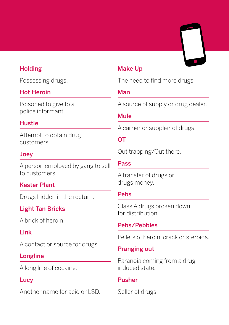#### **Holding**

Possessing drugs.

#### Hot Heroin

Poisoned to give to a police informant.

#### Hustle

Attempt to obtain drug customers.

#### Joey

A person employed by gang to sell to customers.

#### Kester Plant

Drugs hidden in the rectum.

# Light Tan Bricks

A brick of heroin.

#### Link

A contact or source for drugs.

#### Longline

A long line of cocaine.

#### **Lucy**

Another name for acid or LSD.

#### Make Up

The need to find more drugs.

#### Man

A source of supply or drug dealer.

#### Mule

A carrier or supplier of drugs.

#### OT

Out trapping/Out there.

#### Pass

A transfer of drugs or drugs money.

#### Pebs

Class A drugs broken down for distribution.

#### Pebs/Pebbles

Pellets of heroin, crack or steroids.

#### Pranging out

Paranoia coming from a drug induced state.

#### Pusher

Seller of drugs.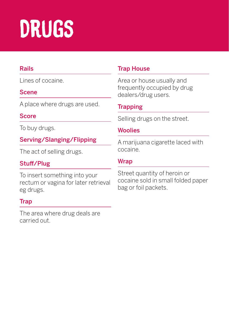# Drugs

# Rails

Lines of cocaine.

#### Scene

A place where drugs are used.

#### **Score**

To buy drugs.

# Serving/Slanging/Flipping

The act of selling drugs.

# Stuff/Plug

To insert something into your rectum or vagina for later retrieval eg drugs.

# **Trap**

The area where drug deals are carried out.

# Trap House

Area or house usually and frequently occupied by drug dealers/drug users.

# **Trapping**

Selling drugs on the street.

#### **Woolies**

A marijuana cigarette laced with cocaine.

### **Wrap**

Street quantity of heroin or cocaine sold in small folded paper bag or foil packets.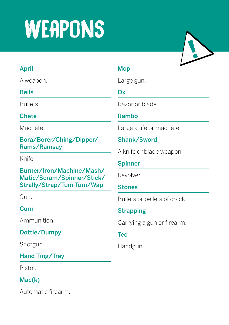# **WEAPONS**

# April

A weapon.

#### Bells

Bullets.

### Chete

Machete.

#### Bora/Borer/Ching/Dipper/ Rams/Ramsay

Knife.

Burner/Iron/Machine/Mash/ Matic/Scram/Spinner/Stick/ Strally/Strap/Tum-Tum/Wap

Gun.

# Corn

Ammunition.

Dottie/Dumpy

Shotgun.

# Hand Ting/Trey

Pistol.

# Mac(k)

Automatic firearm.

#### Mop

Large gun.

#### Ox

Razor or blade.

### Rambo

Large knife or machete.

# Shank/Sword

A knife or blade weapon.

#### Spinner

Revolver.

#### **Stones**

Bullets or pellets of crack.

# **Strapping**

Carrying a gun or firearm.

#### Tec

Handgun.

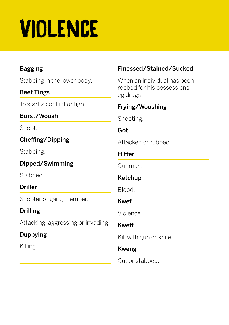# Violence

# Bagging

Stabbing in the lower body.

# Beef Tings

To start a conflict or fight.

Burst/Woosh

Shoot.

Cheffing/Dipping

Stabbing.

Dipped/Swimming

Stabbed.

Driller

Shooter or gang member.

# Drilling

Attacking, aggressing or invading.

# Duppying

Killing.

# Finessed/Stained/Sucked

When an individual has been robbed for his possessions eg drugs.

# Frying/Wooshing

Shooting.

# Got

Attacked or robbed.

# Hitter

Gunman.

# Ketchup

Blood.

# Kwef

Violence.

# Kweff

Kill with gun or knife.

# Kweng

Cut or stabbed.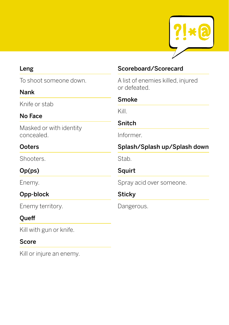

#### Leng

To shoot someone down.

#### Nank

Knife or stab

#### No Face

Masked or with identity concealed.

### **Ooters**

Shooters.

# Op(ps)

Enemy.

# Opp-block

Enemy territory.

# **Oueff**

Kill with gun or knife.

#### Score

Kill or injure an enemy.

### Scoreboard/Scorecard

A list of enemies killed, injured or defeated.

#### Smoke

Kill.

#### Snitch

Informer.

# Splash/Splash up/Splash down

Stab.

# Squirt

Spray acid over someone.

# **Sticky**

Dangerous.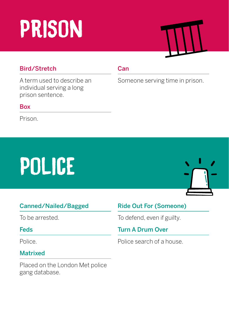# Prison

# Bird/Stretch

A term used to describe an individual serving a long prison sentence.

#### Box

Prison.

#### **Can**

Someone serving time in prison.

# POLICE



# Canned/Nailed/Bagged

To be arrested.

#### Feds

Police.

# Matrixed

Placed on the London Met police gang database.

# Ride Out For (Someone)

To defend, even if guilty.

# Turn A Drum Over

Police search of a house.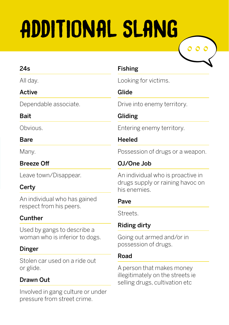# Additional slang



#### 24s

All day.

# Active

Dependable associate.

# **Bait**

Obvious.

### Bare

Many.

# Breeze Off

Leave town/Disappear.

# **Certy**

An individual who has gained respect from his peers.

# Cunther

Used by gangs to describe a woman who is inferior to dogs.

# Dinger

Stolen car used on a ride out or glide.

# Drawn Out

Involved in gang culture or under pressure from street crime.

# Fishing

Looking for victims.

# Glide

Drive into enemy territory.

# Gliding

Entering enemy territory.

# Heeled

Possession of drugs or a weapon.

# OJ/One Job

An individual who is proactive in drugs supply or raining havoc on his enemies.

#### Pave

Streets.

# Riding dirty

Going out armed and/or in possession of drugs.

# Road

A person that makes money illegitimately on the streets ie selling drugs, cultivation etc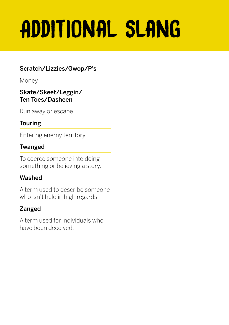# Additional slang

# Scratch/Lizzies/Gwop/P's

Money

#### Skate/Skeet/Leggin/ Ten Toes/Dasheen

Run away or escape.

# Touring

Entering enemy territory.

# Twanged

To coerce someone into doing something or believing a story.

# Washed

A term used to describe someone who isn't held in high regards.

# Zanged

A term used for individuals who have been deceived.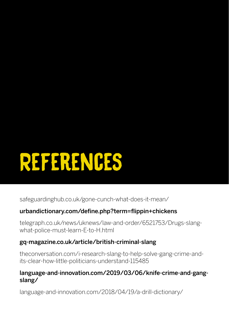# References

safeguardinghub.co.uk/gone-cunch-what-does-it-mean/

# urbandictionary.com/define.php?term=flippin+chickens

telegraph.co.uk/news/uknews/law-and-order/6521753/Drugs-slangwhat-police-must-learn-E-to-H.html

# gq-magazine.co.uk/article/british-criminal-slang

theconversation.com/i-research-slang-to-help-solve-gang-crime-andits-clear-how-little-politicians-understand-115485

#### language-and-innovation.com/2019/03/06/knife-crime-and-gangslang/

language-and-innovation.com/2018/04/19/a-drill-dictionary/